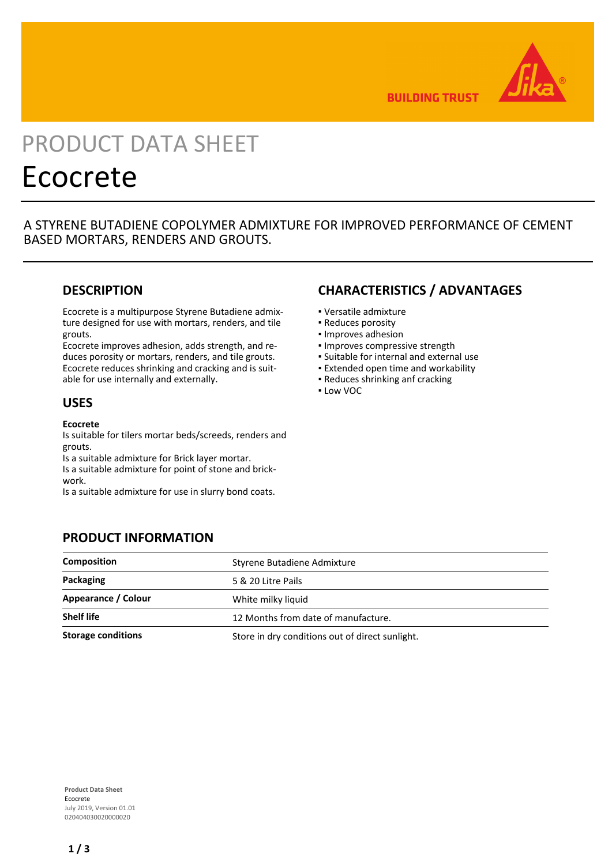

**BUILDING TRUST** 

# PRODUCT DATA SHEET Ecocrete

A STYRENE BUTADIENE COPOLYMER ADMIXTURE FOR IMPROVED PERFORMANCE OF CEMENT BASED MORTARS, RENDERS AND GROUTS.

## **DESCRIPTION**

Ecocrete is a multipurpose Styrene Butadiene admixture designed for use with mortars, renders, and tile grouts.

Ecocrete improves adhesion, adds strength, and reduces porosity or mortars, renders, and tile grouts. Ecocrete reduces shrinking and cracking and is suitable for use internally and externally.

### **USES**

#### **Ecocrete**

Is suitable for tilers mortar beds/screeds, renders and grouts.

Is a suitable admixture for Brick layer mortar. Is a suitable admixture for point of stone and brickwork.

Is a suitable admixture for use in slurry bond coats.

**PRODUCT INFORMATION**

# **CHARACTERISTICS / ADVANTAGES**

- Versatile admixture
- Reduces porosity
- Improves adhesion
- Improves compressive strength
- Suitable for internal and external use
- **Extended open time and workability**
- Reduces shrinking anf cracking
- Low VOC

# **Composition Composition** Styrene Butadiene Admixture **Packaging** 5 & 20 Litre Pails **Appearance / Colour** White milky liquid **Shelf life** 12 Months from date of manufacture. **Storage conditions** Store in dry conditions out of direct sunlight.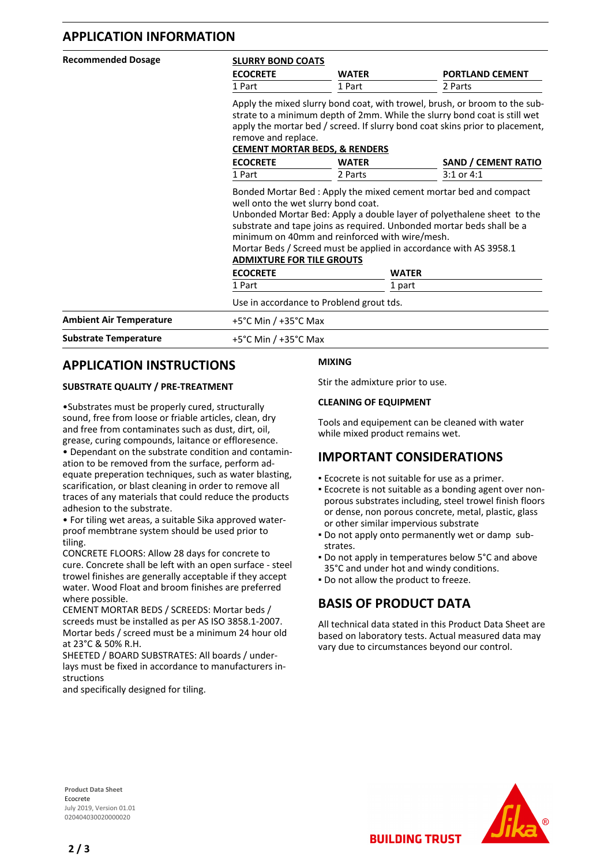## **APPLICATION INFORMATION**

| <b>Recommended Dosage</b>      | <b>SLURRY BOND COATS</b><br><b>ECOCRETE</b><br><b>WATER</b>                                                                                                                                                                                                                                                                                       |              | <b>PORTLAND CEMENT</b> |  |
|--------------------------------|---------------------------------------------------------------------------------------------------------------------------------------------------------------------------------------------------------------------------------------------------------------------------------------------------------------------------------------------------|--------------|------------------------|--|
|                                | 1 Part                                                                                                                                                                                                                                                                                                                                            | 1 Part       | 2 Parts                |  |
|                                | Apply the mixed slurry bond coat, with trowel, brush, or broom to the sub-<br>strate to a minimum depth of 2mm. While the slurry bond coat is still wet<br>apply the mortar bed / screed. If slurry bond coat skins prior to placement,<br>remove and replace.<br><b>CEMENT MORTAR BEDS, &amp; RENDERS</b>                                        |              |                        |  |
|                                | <b>ECOCRETE</b>                                                                                                                                                                                                                                                                                                                                   | <b>WATER</b> | SAND / CEMENT RATIO    |  |
|                                | 1 Part                                                                                                                                                                                                                                                                                                                                            | 2 Parts      | $3:1$ or $4:1$         |  |
|                                | well onto the wet slurry bond coat.<br>Unbonded Mortar Bed: Apply a double layer of polyethalene sheet to the<br>substrate and tape joins as required. Unbonded mortar beds shall be a<br>minimum on 40mm and reinforced with wire/mesh.<br>Mortar Beds / Screed must be applied in accordance with AS 3958.1<br><b>ADMIXTURE FOR TILE GROUTS</b> |              |                        |  |
|                                | <b>ECOCRETE</b>                                                                                                                                                                                                                                                                                                                                   |              | <b>WATER</b>           |  |
|                                | 1 Part                                                                                                                                                                                                                                                                                                                                            |              | 1 part                 |  |
|                                | Use in accordance to Problend grout tds.                                                                                                                                                                                                                                                                                                          |              |                        |  |
| <b>Ambient Air Temperature</b> | +5 $^{\circ}$ C Min / +35 $^{\circ}$ C Max                                                                                                                                                                                                                                                                                                        |              |                        |  |
| <b>Substrate Temperature</b>   | $+5^{\circ}$ C Min / $+35^{\circ}$ C Max                                                                                                                                                                                                                                                                                                          |              |                        |  |

# **APPLICATION INSTRUCTIONS**

#### **SUBSTRATE QUALITY / PRE-TREATMENT**

•Substrates must be properly cured, structurally sound, free from loose or friable articles, clean, dry and free from contaminates such as dust, dirt, oil, grease, curing compounds, laitance or effloresence. • Dependant on the substrate condition and contamination to be removed from the surface, perform adequate preperation techniques, such as water blasting, scarification, or blast cleaning in order to remove all traces of any materials that could reduce the products adhesion to the substrate.

• For tiling wet areas, a suitable Sika approved waterproof membtrane system should be used prior to tiling.

CONCRETE FLOORS: Allow 28 days for concrete to cure. Concrete shall be left with an open surface - steel trowel finishes are generally acceptable if they accept water. Wood Float and broom finishes are preferred where possible.

CEMENT MORTAR BEDS / SCREEDS: Mortar beds / screeds must be installed as per AS ISO 3858.1-2007. Mortar beds / screed must be a minimum 24 hour old at 23°C & 50% R.H.

SHEETED / BOARD SUBSTRATES: All boards / underlays must be fixed in accordance to manufacturers instructions

and specifically designed for tiling.

#### **MIXING**

Stir the admixture prior to use.

#### **CLEANING OF EQUIPMENT**

Tools and equipement can be cleaned with water while mixed product remains wet.

# **IMPORTANT CONSIDERATIONS**

- **Ecocrete is not suitable for use as a primer.**
- **Ecocrete is not suitable as a bonding agent over non**porous substrates including, steel trowel finish floors or dense, non porous concrete, metal, plastic, glass or other similar impervious substrate
- Do not apply onto permanently wet or damp sub-▪ strates.
- **Do not apply in temperatures below 5°C and above** 35°C and under hot and windy conditions.
- **Do not allow the product to freeze.**

# **BASIS OF PRODUCT DATA**

All technical data stated in this Product Data Sheet are based on laboratory tests. Actual measured data may vary due to circumstances beyond our control.

**BUILDING TRUST** 

**Product Data Sheet** Ecocrete July 2019, Version 01.01 020404030020000020